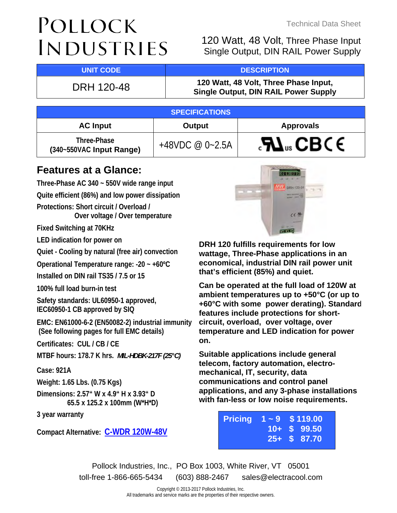# POLLOCK **INDUSTRIES**

Technical Data Sheet

120 Watt, 48 Volt, Three Phase Input Single Output, DIN RAIL Power Supply

## **UNIT CODE And DESCRIPTION**

DRH 120-48 **120 Watt, 48 Volt, Three Phase Input, Single Output, DIN RAIL Power Supply**

| <b>SPECIFICATIONS</b>                   |                     |                                            |  |  |
|-----------------------------------------|---------------------|--------------------------------------------|--|--|
| <b>AC Input</b>                         | Output              | <b>Approvals</b>                           |  |  |
| Three-Phase<br>(340~550VAC Input Range) | +48VDC @ $0 - 2.5A$ | $\mathcal{L}$ <b>N</b> <sub>us</sub> CBC E |  |  |

# **Features at a Glance:**

**Three-Phase AC 340 ~ 550V wide range input Quite efficient (86%) and low power dissipation Protections: Short circuit / Overload / Over voltage / Over temperature Fixed Switching at 70KHz LED indication for power on Quiet - Cooling by natural (free air) convection Operational Temperature range: -20 ~ +60ºC Installed on DIN rail TS35 / 7.5 or 15 100% full load burn-in test Safety standards: UL60950-1 approved, IEC60950-1 CB approved by SIQ EMC: EN61000-6-2 (EN50082-2) industrial immunity (See following pages for full EMC details) Certificates: CUL / CB / CE MTBF hours: 178.7 K hrs.** *MIL-HDBK-217F (25°C)* **Case: 921A Weight: 1.65 Lbs. (0.75 Kgs)** 

**Dimensions: 2.57" W x 4.9" H x 3.93" D 65.5 x 125.2 x 100mm (W\*H\*D)** 

**3 year warranty** 

**Compact Alternative: [C-WDR 120W-48V](http://www.electracool.com/CWDR120-48.pdf)**



**DRH 120 fulfills requirements for low wattage, Three-Phase applications in an economical, industrial DIN rail power unit that's efficient (85%) and quiet.** 

**Can be operated at the full load of 120W at ambient temperatures up to +50°C (or up to +60°C with some power derating). Standard features include protections for shortcircuit, overload, over voltage, over temperature and LED indication for power on.** 

**Suitable applications include general telecom, factory automation, electromechanical, IT, security, data communications and control panel applications, and any 3-phase installations with fan-less or low noise requirements.** 

|  | <b>Pricing <math>1 - 9</math> \$119.00</b> |
|--|--------------------------------------------|
|  | $10 + S$ 99.50                             |
|  | $25 + S$ 87.70                             |

Pollock Industries, Inc., PO Box 1003, White River, VT 05001 toll-free 1-866-665-5434 (603) 888-2467 sales@electracool.com

> Copyright © 2013-2017 Pollock Industries, Inc. All trademarks and service marks are the properties of their respective owners.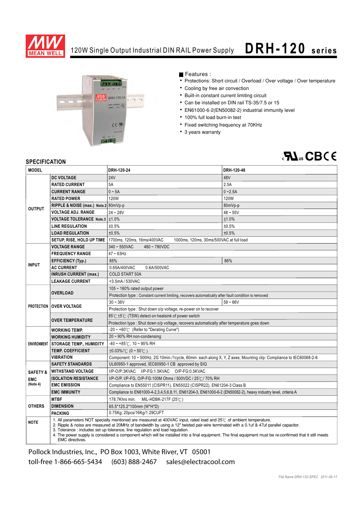

### 120W Single Output Industrial DIN RAIL Power Supply **D R H- 1 2 0 s e r i e s**



Features :

- Protections: Short circuit / Overload / Over voltage / Over temperature
- Cooling by free air convection
- Built-in constant current limiting circuit
- Can be installed on DIN rail TS-35/7.5 or 15
- EN61000-6-2(EN50082-2) industrial immunity level
- 100% full load burn-in test
- Fixed switching frequency at 70KHz
- 3 years warranty

# $\partial \mathbf{M}_{\text{us}}$ CBCE

#### **SPECIFICATION**

| <b>MODEL</b>                                                  |                                                                                                                                                                                                                                                                                                                                                                                                                                                                                                                                                  | DRH-120-24                                                                                                         | DRH-120-48 |  |
|---------------------------------------------------------------|--------------------------------------------------------------------------------------------------------------------------------------------------------------------------------------------------------------------------------------------------------------------------------------------------------------------------------------------------------------------------------------------------------------------------------------------------------------------------------------------------------------------------------------------------|--------------------------------------------------------------------------------------------------------------------|------------|--|
|                                                               | <b>DC VOLTAGE</b>                                                                                                                                                                                                                                                                                                                                                                                                                                                                                                                                | <b>24V</b>                                                                                                         | 48V        |  |
| <b>OUTPUT</b>                                                 | <b>RATED CURRENT</b>                                                                                                                                                                                                                                                                                                                                                                                                                                                                                                                             | 5A                                                                                                                 | 2.5A       |  |
|                                                               | <b>CURRENT RANGE</b>                                                                                                                                                                                                                                                                                                                                                                                                                                                                                                                             | $0 - 5A$                                                                                                           | $0 - 2.5A$ |  |
|                                                               | <b>RATED POWER</b>                                                                                                                                                                                                                                                                                                                                                                                                                                                                                                                               | 120W                                                                                                               | 120W       |  |
|                                                               | RIPPLE & NOISE (max.) Note.2 80mVp-p                                                                                                                                                                                                                                                                                                                                                                                                                                                                                                             |                                                                                                                    | 80mVp-p    |  |
|                                                               | <b>VOLTAGE ADJ. RANGE</b>                                                                                                                                                                                                                                                                                                                                                                                                                                                                                                                        | $24 - 28V$                                                                                                         | $48 - 55V$ |  |
|                                                               | <b>VOLTAGE TOLERANCE Note.3 <math>\pm</math>1.0%</b>                                                                                                                                                                                                                                                                                                                                                                                                                                                                                             |                                                                                                                    | ±1.0%      |  |
|                                                               | <b>LINE REGULATION</b>                                                                                                                                                                                                                                                                                                                                                                                                                                                                                                                           | ±0.5%                                                                                                              | ±0.5%      |  |
|                                                               | <b>LOAD REGULATION</b>                                                                                                                                                                                                                                                                                                                                                                                                                                                                                                                           | ±0.5%                                                                                                              | ±0.5%      |  |
|                                                               | SETUP, RISE, HOLD UP TIME                                                                                                                                                                                                                                                                                                                                                                                                                                                                                                                        | 1700ms, 120ms, 16ms/400VAC<br>1000ms, 120ms, 30ms/500VAC at full load                                              |            |  |
|                                                               | <b>VOLTAGE RANGE</b>                                                                                                                                                                                                                                                                                                                                                                                                                                                                                                                             | $340 - 550$ VAC<br>480~780VDC                                                                                      |            |  |
|                                                               | <b>FREQUENCY RANGE</b>                                                                                                                                                                                                                                                                                                                                                                                                                                                                                                                           | $47 \sim 63$ Hz                                                                                                    |            |  |
| <b>EFFICIENCY (Typ.)</b><br><b>INPUT</b><br><b>AC CURRENT</b> |                                                                                                                                                                                                                                                                                                                                                                                                                                                                                                                                                  | 85%                                                                                                                | 86%        |  |
|                                                               |                                                                                                                                                                                                                                                                                                                                                                                                                                                                                                                                                  | 0.65A/400VAC<br>0.6A/500VAC                                                                                        |            |  |
|                                                               | <b>INRUSH CURRENT (max.)</b>                                                                                                                                                                                                                                                                                                                                                                                                                                                                                                                     | <b>COLD START 50A</b>                                                                                              |            |  |
|                                                               | <b>LEAKAGE CURRENT</b>                                                                                                                                                                                                                                                                                                                                                                                                                                                                                                                           | <3.5mA / 530VAC                                                                                                    |            |  |
|                                                               |                                                                                                                                                                                                                                                                                                                                                                                                                                                                                                                                                  | 105 ~ 160% rated output power                                                                                      |            |  |
|                                                               | <b>OVERLOAD</b>                                                                                                                                                                                                                                                                                                                                                                                                                                                                                                                                  | Protection type : Constant current limiting, recovers automatically after fault condition is removed               |            |  |
|                                                               | PROTECTION   OVER VOLTAGE                                                                                                                                                                                                                                                                                                                                                                                                                                                                                                                        | $30 - 36V$                                                                                                         | $59 - 66V$ |  |
|                                                               |                                                                                                                                                                                                                                                                                                                                                                                                                                                                                                                                                  | Protection type : Shut down o/p voltage, re-power on to recover                                                    |            |  |
|                                                               | <b>OVER TEMPERATURE</b>                                                                                                                                                                                                                                                                                                                                                                                                                                                                                                                          | 85℃±5℃ (TSW) detect on heatsink of power switch                                                                    |            |  |
|                                                               |                                                                                                                                                                                                                                                                                                                                                                                                                                                                                                                                                  | Protection type : Shut down o/p voltage, recovers automatically after temperature goes down                        |            |  |
| <b>WORKING TEMP.</b>                                          |                                                                                                                                                                                                                                                                                                                                                                                                                                                                                                                                                  | $-20 \sim +60^{\circ}$ (Refer to "Derating Curve")                                                                 |            |  |
|                                                               | <b>WORKING HUMIDITY</b>                                                                                                                                                                                                                                                                                                                                                                                                                                                                                                                          | $20 \sim 90\%$ RH non-condensing                                                                                   |            |  |
| <b>ENVIRONMENT</b>                                            | STORAGE TEMP., HUMIDITY                                                                                                                                                                                                                                                                                                                                                                                                                                                                                                                          | $-40 \sim +85^{\circ}$ C, 10 ~ 95% RH                                                                              |            |  |
|                                                               | <b>TEMP. COEFFICIENT</b>                                                                                                                                                                                                                                                                                                                                                                                                                                                                                                                         | $\pm 0.03\%$ (0 ~ 50°C)                                                                                            |            |  |
|                                                               | <b>VIBRATION</b>                                                                                                                                                                                                                                                                                                                                                                                                                                                                                                                                 | Component: 10 ~ 500Hz, 2G 10min./1cycle, 60min. each along X, Y, Z axes; Mounting clip: Compliance to IEC60068-2-6 |            |  |
|                                                               | <b>SAFETY STANDARDS</b>                                                                                                                                                                                                                                                                                                                                                                                                                                                                                                                          | UL60950-1 approved, IEC60950-1 CB approved by SIQ                                                                  |            |  |
| <b>SAFETY &amp;</b>                                           | <b>WITHSTAND VOLTAGE</b>                                                                                                                                                                                                                                                                                                                                                                                                                                                                                                                         | I/P-O/P:3KVAC I/P-FG:1.5KVAC O/P-FG:0.5KVAC                                                                        |            |  |
| <b>EMC</b>                                                    | <b>ISOLATION RESISTANCE</b><br>I/P-O/P, I/P-FG, O/P-FG:100M Ohms / 500VDC / 25°C / 70% RH                                                                                                                                                                                                                                                                                                                                                                                                                                                        |                                                                                                                    |            |  |
| (Note 4)                                                      | <b>EMC EMISSION</b>                                                                                                                                                                                                                                                                                                                                                                                                                                                                                                                              | Compliance to EN55011 (CISPR11), EN55022 (CISPR22), EN61204-3 Class B                                              |            |  |
|                                                               | <b>EMC IMMUNITY</b>                                                                                                                                                                                                                                                                                                                                                                                                                                                                                                                              | Compliance to EN61000-4-2,3,4,5,6,8,11, EN61204-3, EN61000-6-2 (EN50082-2), heavy industry level, criteria A       |            |  |
|                                                               | <b>MTBF</b>                                                                                                                                                                                                                                                                                                                                                                                                                                                                                                                                      | 178.7Khrs min.<br>MIL-HDBK-217F $(25^{\circ}$ C)                                                                   |            |  |
| <b>OTHERS</b>                                                 | <b>DIMENSION</b>                                                                                                                                                                                                                                                                                                                                                                                                                                                                                                                                 | 65.5*125.2*100mm (W*H*D)                                                                                           |            |  |
|                                                               | <b>PACKING</b>                                                                                                                                                                                                                                                                                                                                                                                                                                                                                                                                   | 0.75Kg; 20pcs/16Kg/1.29CUFT                                                                                        |            |  |
| <b>NOTE</b>                                                   | 1. All parameters NOT specially mentioned are measured at 400VAC input, rated load and $25^{\circ}$ of ambient temperature.<br>2. Ripple & noise are measured at 20MHz of bandwidth by using a 12" twisted pair-wire terminated with a 0.1uf & 47uf parallel capacitor.<br>3. Tolerance: includes set up tolerance, line regulation and load regulation.<br>4. The power supply is considered a component which will be installed into a final equipment. The final equipment must be re-confirmed that it still meets<br><b>EMC</b> directives. |                                                                                                                    |            |  |

Pollock Industries, Inc., PO Box 1003, White River, VT 05001 toll-free 1-866-665-5434 (603) 888-2467 sales@electracool.com